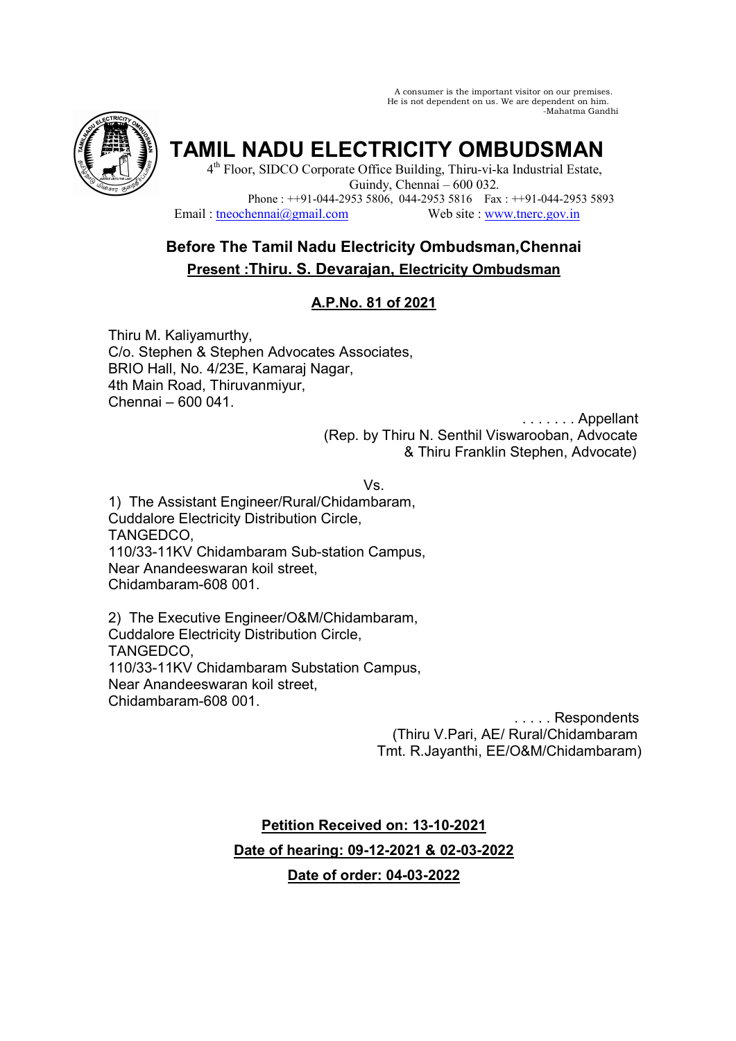A consumer is the important visitor on our premises. He is not dependent on us. We are dependent on him. -Mahatma Gandhi



**TAMIL NADU ELECTRICITY OMBUDSMAN** 

4<sup>th</sup> Floor, SIDCO Corporate Office Building, Thiru-vi-ka Industrial Estate, Guindy, Chennai – 600 032. Phone :  $+91-044-29535806$ , 044-2953 5816 Fax :  $+91-044-29535893$ <br>hennai $@$ gmail.com Web site : www.tnerc.gov.in Email : tneochennai $@$ gmail.com

# **Before The Tamil Nadu Electricity Ombudsman,Chennai Present :Thiru. S. Devarajan, Electricity Ombudsman**

# **A.P.No. 81 of 2021**

Thiru M. Kaliyamurthy, C/o. Stephen & Stephen Advocates Associates, BRIO Hall, No. 4/23E, Kamaraj Nagar, 4th Main Road, Thiruvanmiyur, Chennai – 600 041.

> . . . . . . . Appellant (Rep. by Thiru N. Senthil Viswarooban, Advocate & Thiru Franklin Stephen, Advocate)

> > Vs.

1) The Assistant Engineer/Rural/Chidambaram, Cuddalore Electricity Distribution Circle, TANGEDCO, 110/33-11KV Chidambaram Sub-station Campus, Near Anandeeswaran koil street, Chidambaram-608 001.

2) The Executive Engineer/O&M/Chidambaram, Cuddalore Electricity Distribution Circle, TANGEDCO, 110/33-11KV Chidambaram Substation Campus, Near Anandeeswaran koil street, Chidambaram-608 001.

> . . . . . Respondents (Thiru V.Pari, AE/ Rural/Chidambaram Tmt. R.Jayanthi, EE/O&M/Chidambaram)

**Petition Received on: 13-10-2021 Date of hearing: 09-12-2021 & 02-03-2022 Date of order: 04-03-2022**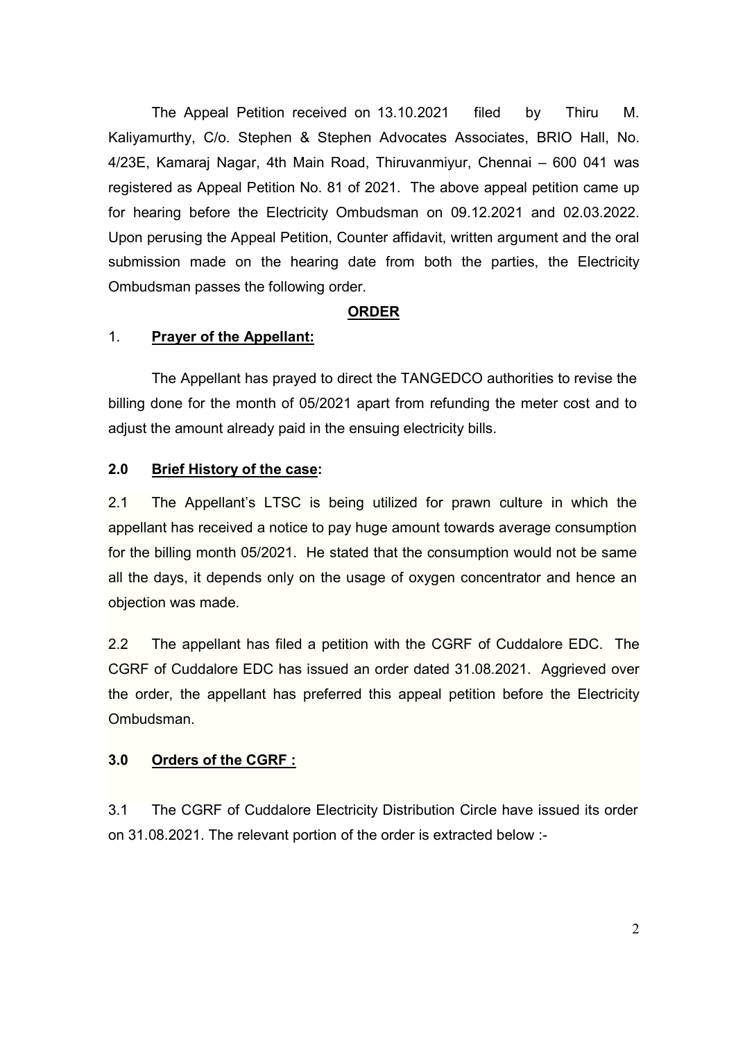The Appeal Petition received on 13.10.2021 filed by Thiru M. Kaliyamurthy, C/o. Stephen & Stephen Advocates Associates, BRIO Hall, No. 4/23E, Kamaraj Nagar, 4th Main Road, Thiruvanmiyur, Chennai – 600 041 was registered as Appeal Petition No. 81 of 2021. The above appeal petition came up for hearing before the Electricity Ombudsman on 09.12.2021 and 02.03.2022. Upon perusing the Appeal Petition, Counter affidavit, written argument and the oral submission made on the hearing date from both the parties, the Electricity Ombudsman passes the following order.

## **ORDER**

### 1. **Prayer of the Appellant:**

 The Appellant has prayed to direct the TANGEDCO authorities to revise the billing done for the month of 05/2021 apart from refunding the meter cost and to adjust the amount already paid in the ensuing electricity bills.

### **2.0 Brief History of the case:**

2.1 The Appellant's LTSC is being utilized for prawn culture in which the appellant has received a notice to pay huge amount towards average consumption for the billing month 05/2021. He stated that the consumption would not be same all the days, it depends only on the usage of oxygen concentrator and hence an objection was made.

2.2 The appellant has filed a petition with the CGRF of Cuddalore EDC. The CGRF of Cuddalore EDC has issued an order dated 31.08.2021. Aggrieved over the order, the appellant has preferred this appeal petition before the Electricity Ombudsman.

#### **3.0 Orders of the CGRF :**

3.1 The CGRF of Cuddalore Electricity Distribution Circle have issued its order on 31.08.2021. The relevant portion of the order is extracted below :-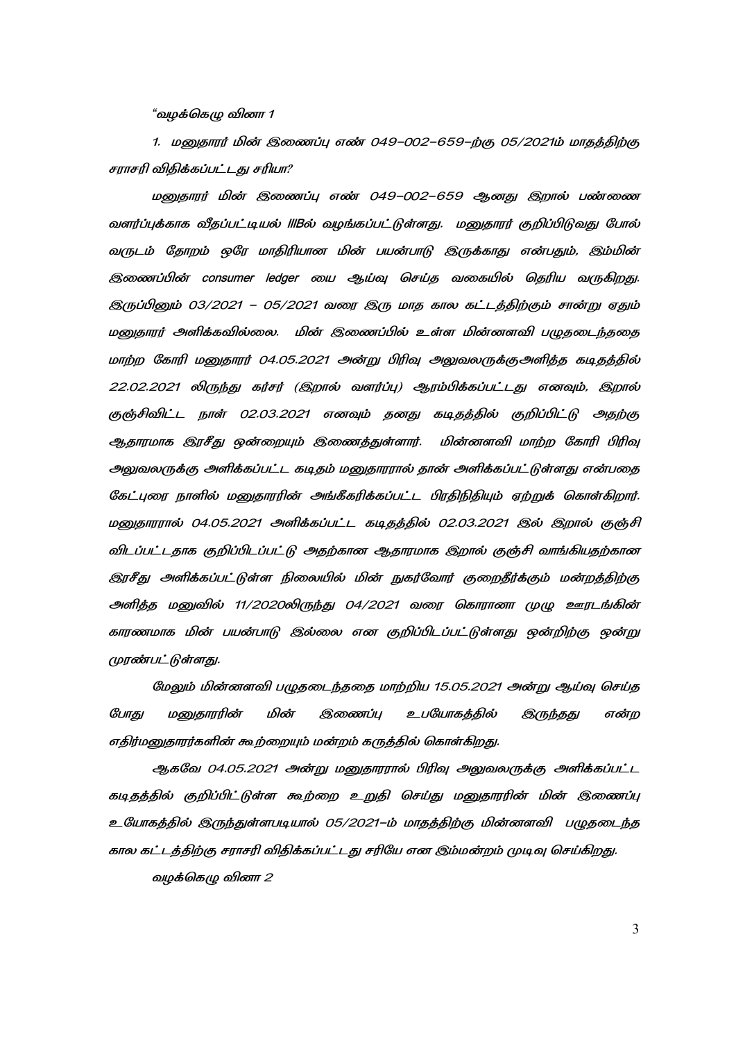"*வழக்கெழு வினா 1* 

1. மனுதாரர் மின் இணைப்பு எண் 049–002–659–ற்கு 05/2021ம் மாதத்திற்கு சராசரி விதிக்கப்பட்டது சரியா?

மனுதாரர் மின் இணைப்பு எண் 049–002–659 ஆனது இறால் பண்ணை வளர்ப்புக்காக வீதப்பட்டியல் IIIBல் வழங்கப்பட்டுள்ளது. மனுதாரர் குறிப்பிடுவது போல் வருடம் தோறம் ஒரே மாதிரியான மின் பயன்பாடு இருக்காது என்பதும், இம்மின் இணைப்பின் consumer ledger யை ஆய்வு செய்த வகையில் தெரிய வருகிறது. இருப்பினும் 03/2021 – 05/2021 வரை இரு மாத கால கட்டத்திற்கும் சான்று ஏதும் மனுதாரர் அளிக்கவில்லை. மின் இணைப்பில் உள்ள மின்னளவி பழுதடைந்ததை மாற்ற கோரி மனுதாரர் 04.05.2021 அன்று பிரிவு அலுவலருக்குஅளித்த கடிதத்தில் 22.02.2021 லிருந்து கர்சர் (இறால் வளர்ப்பு) ஆரம்பிக்கப்பட்டது எனவும், இறால் குஞ்சிவிட்ட நாள் 02.03.2021 எனவும் தனது கடிதத்தில் குறிப்பிட்டு அதற்கு ஆதாரமாக இரசீது ஒன்றையும் இணைத்துள்ளார். மின்னளவி மாற்ற கோரி பிரிவு அலுவலருக்கு அளிக்கப்பட்ட கடிதம் மனுதாரரால் தான் அளிக்கப்பட்டுள்ளது என்பதை கேட்புரை நாளில் மனுதாரரின் அங்கீகரிக்கப்பட்ட பிரதிநிதியும் ஏற்றுக் கொள்கிறார். மனுதாரரால் 04.05.2021 அளிக்கப்பட்ட கடிதத்தில் 02.03.2021 இல் இறால் குஞ்சி விடப்பட்டதாக குறிப்பிடப்பட்டு அதற்கான ஆதாரமாக இறால் குஞ்சி வாங்கியதற்கான இரசீது அளிக்கப்பட்டுள்ள நிலையில் மின் நுகர்வோர் குறைதீர்க்கும் மன்றத்திற்கு அளித்த மனுவில் 11/2020லிருந்து 04/2021 வரை கொரானா முழு ஊரடங்கின் காரணமாக மின் பயன்பாடு இல்லை என குறிப்பிடப்பட்டுள்ளது ஒன்றிற்கு ஒன்று முரண்பட்டுள்ளது.

மேலும் மின்னளவி பழுதடைந்ததை மாற்றிய 15.05.2021 அன்று ஆய்வு செய்த போது மனுதாரரின் மின் இணைப்பு உபயோகத்தில் இருந்தது என்ற எதிர்மனுதாரர்களின் கூற்றையும் மன்றம் கருத்தில் கொள்கிறது.

ஆகவே 04.05.2021 அன்று மனுதாரரால் பிரிவு அலுவலருக்கு அளிக்கப்பட்ட கடிதத்தில் குறிப்பிட்டுள்ள கூற்றை உறுதி செய்து மனுதாரரின் மின் இணைப்பு உயோகத்தில் இருந்துள்ளபடியால் 05/2021–ம் மாதத்திற்கு மின்னளவி பழுதடைந்த கால கட்டத்திற்கு சராசரி விதிக்கப்பட்டது சரியே என இம்மன்றம் முடிவு செய்கிறது.

வழக்கெழு வினா 2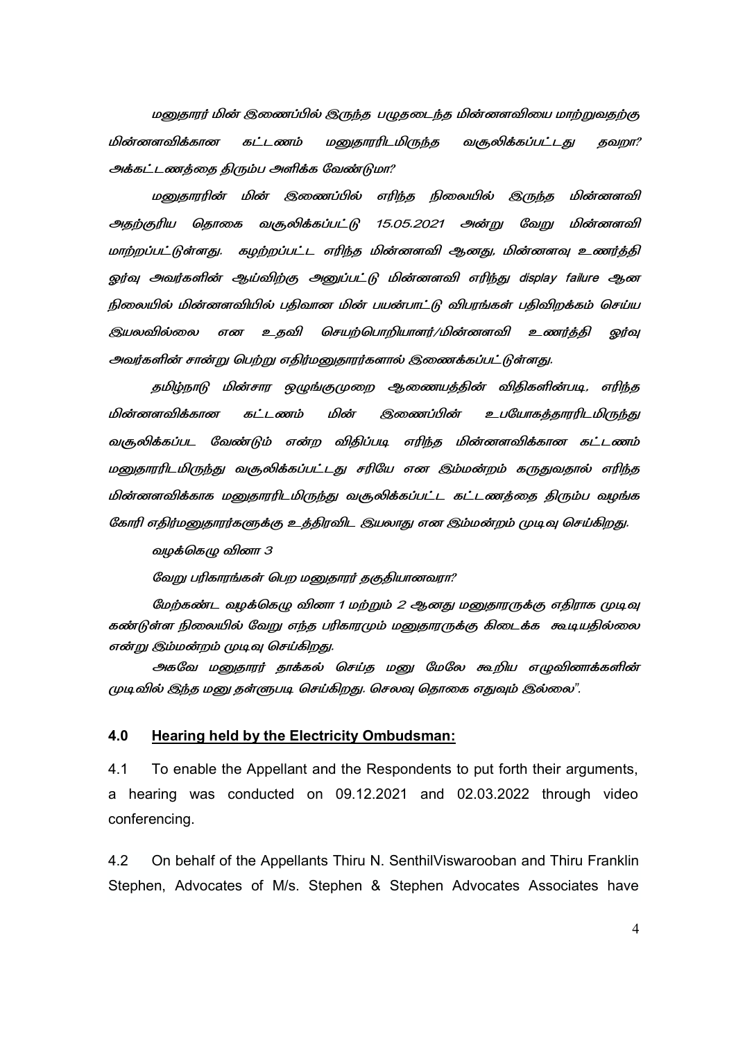மனுதாரர் மின் இணைப்பில் இருந்த பழுதடைந்த மின்னளவியை மாற்றுவதற்கு மின்னளவிக்கான கட்டணம் மனுகாரரிடமிருந்த வசூலிக்கப்பட்டது தவறா? அக்கட்டணத்தை திரும்ப அளிக்க வேண்டுமா?

மனுதாரரின் மின் இணைப்பில் எரிந்த நிலையில் இருந்த மின்னளவி அதற்குரிய தொகை வசூலிக்கப்பட்டு 15.05.2021 அன்று வேறு மின்னளவி மாற்றப்பட்டுள்ளது. கழற்றப்பட்ட எரிந்த மின்னளவி ஆனது, மின்னளவு உணர்த்தி ஒர்வு அவர்களின் ஆய்விற்கு அனுப்பட்டு மின்னளவி எரிந்து display failure ஆன நிலையில் மின்னளவியில் பதிவான மின் பயன்பாட்டு விபரங்கள் பதிவிறக்கம் செய்ய இயலவில்லை என உதவி செயற்பொறியாளர்/மின்னளவி உணர்த்தி <u>ஓ</u>ர்வு அவர்களின் சான்று பெற்று எதிர்மனுதாரர்களால் இணைக்கப்பட்டுள்ளது.

தமிழ்நாடு மின்சார ஒழுங்குமுறை ஆணையத்தின் விதிகளின்படி, எரிந்த மின்னளவிக்கான கட்டணம் மின் இணைப்பின் கத்தாரரிட*மி*ருந்து வசூலிக்கப்பட வேண்டும் என்ற விதிப்படி எரிந்த மின்னளவிக்கான கட்டணம் மனுதாரரிடமிருந்து வசூலிக்கப்பட்டது சரியே என இம்மன்றம் கருதுவதால் எரிந்த மின்னளவிக்காக மனுதாரரிடமிருந்து வசூலிக்கப்பட்ட கட்டணத்தை திரும்ப வழங்க கோரி எதிர்மனுதாரர்களுக்கு உத்திரவிட இயலாது என இம்மன்றம் முடிவு செய்கிறது.

வழக்கெழு வினா 3

வேறு பரிகாரங்கள் பெற மனுதாரர் தகுதியானவரா?

மேற்கண்ட வழக்கெழு வினா 1 மற்றும் 2 ஆனது மனுதாரருக்கு எதிராக முடிவு கண்டுள்ள நிலையில் வேறு எந்த பரிகாரமும் மனுதாரருக்கு கிடைக்க கூடியதில்லை என்று இம்மன்றம் முடிவு செய்கிறது.

அகவே மனுதாரர் தாக்கல் செய்த மனு மேலே கூறிய எழுவினாக்களின் முடிவில் இந்த மனு தள்ளுபடி செய்கிறது. செலவு தொகை எதுவும் இல்லை".

#### **4.0 Hearing held by the Electricity Ombudsman:**

4.1 To enable the Appellant and the Respondents to put forth their arguments, a hearing was conducted on 09.12.2021 and 02.03.2022 through video conferencing.

4.2 On behalf of the Appellants Thiru N. SenthilViswarooban and Thiru Franklin Stephen, Advocates of M/s. Stephen & Stephen Advocates Associates have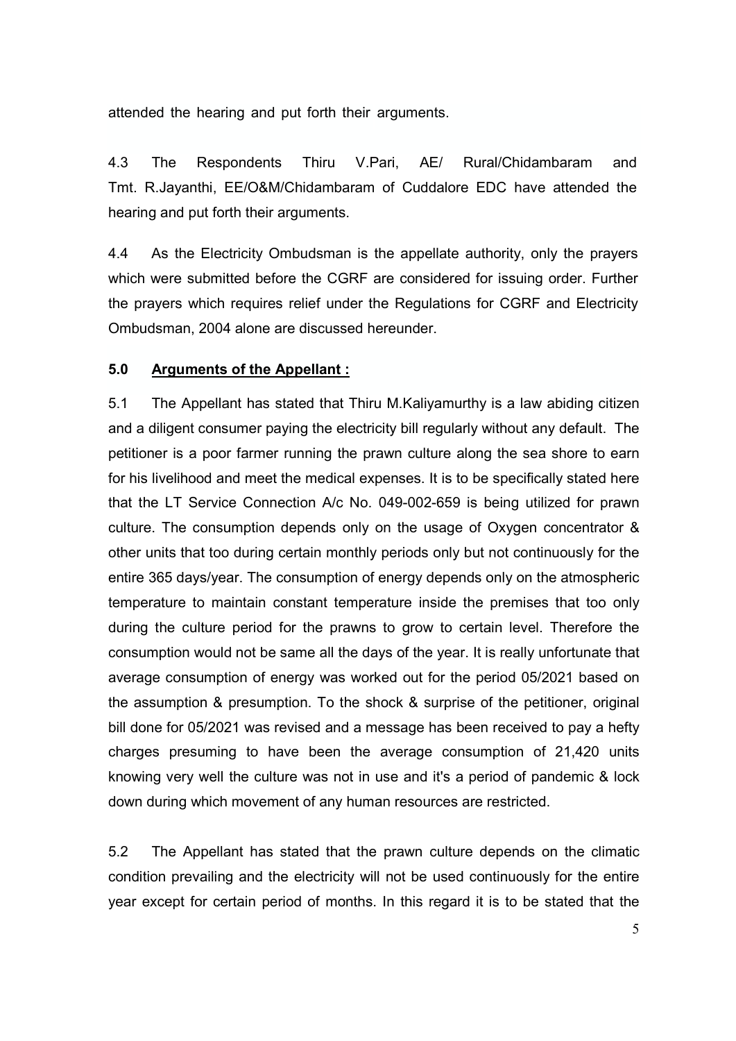attended the hearing and put forth their arguments.

4.3 The Respondents Thiru V.Pari, AE/ Rural/Chidambaram and Tmt. R.Jayanthi, EE/O&M/Chidambaram of Cuddalore EDC have attended the hearing and put forth their arguments.

4.4 As the Electricity Ombudsman is the appellate authority, only the prayers which were submitted before the CGRF are considered for issuing order. Further the prayers which requires relief under the Regulations for CGRF and Electricity Ombudsman, 2004 alone are discussed hereunder.

# **5.0 Arguments of the Appellant :**

5.1 The Appellant has stated that Thiru M.Kaliyamurthy is a law abiding citizen and a diligent consumer paying the electricity bill regularly without any default. The petitioner is a poor farmer running the prawn culture along the sea shore to earn for his livelihood and meet the medical expenses. It is to be specifically stated here that the LT Service Connection A/c No. 049-002-659 is being utilized for prawn culture. The consumption depends only on the usage of Oxygen concentrator & other units that too during certain monthly periods only but not continuously for the entire 365 days/year. The consumption of energy depends only on the atmospheric temperature to maintain constant temperature inside the premises that too only during the culture period for the prawns to grow to certain level. Therefore the consumption would not be same all the days of the year. It is really unfortunate that average consumption of energy was worked out for the period 05/2021 based on the assumption & presumption. To the shock & surprise of the petitioner, original bill done for 05/2021 was revised and a message has been received to pay a hefty charges presuming to have been the average consumption of 21,420 units knowing very well the culture was not in use and it's a period of pandemic & lock down during which movement of any human resources are restricted.

5.2 The Appellant has stated that the prawn culture depends on the climatic condition prevailing and the electricity will not be used continuously for the entire year except for certain period of months. In this regard it is to be stated that the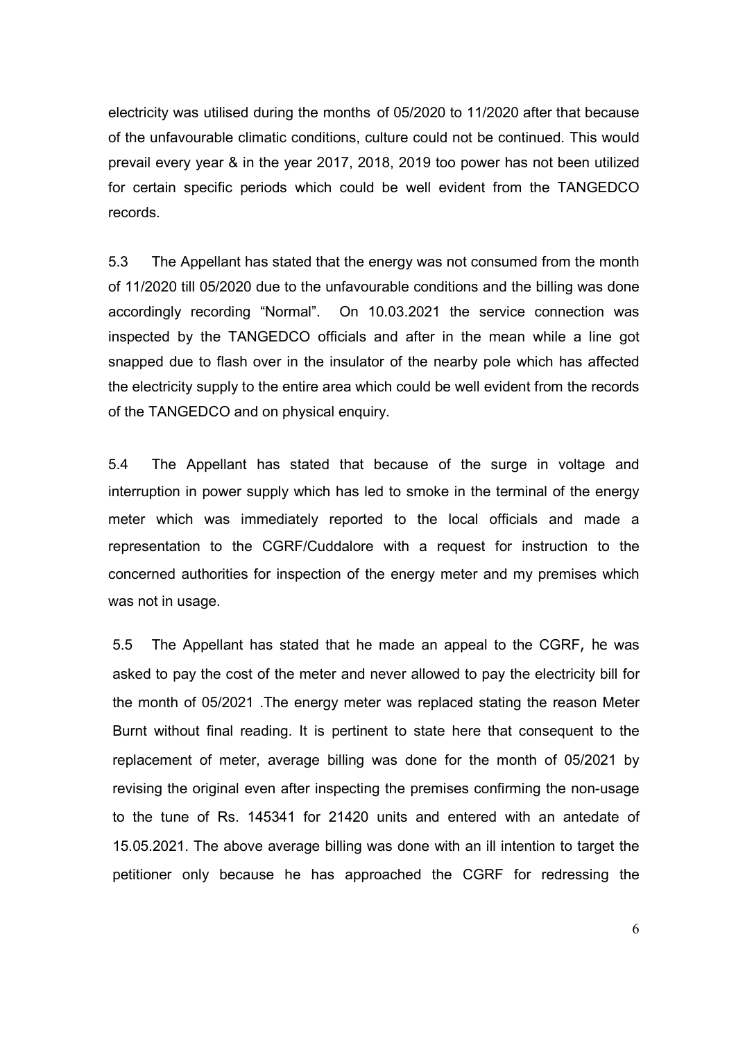electricity was utilised during the months of 05/2020 to 11/2020 after that because of the unfavourable climatic conditions, culture could not be continued. This would prevail every year & in the year 2017, 2018, 2019 too power has not been utilized for certain specific periods which could be well evident from the TANGEDCO records.

5.3 The Appellant has stated that the energy was not consumed from the month of 11/2020 till 05/2020 due to the unfavourable conditions and the billing was done accordingly recording "Normal". On 10.03.2021 the service connection was inspected by the TANGEDCO officials and after in the mean while a line got snapped due to flash over in the insulator of the nearby pole which has affected the electricity supply to the entire area which could be well evident from the records of the TANGEDCO and on physical enquiry.

5.4 The Appellant has stated that because of the surge in voltage and interruption in power supply which has led to smoke in the terminal of the energy meter which was immediately reported to the local officials and made a representation to the CGRF/Cuddalore with a request for instruction to the concerned authorities for inspection of the energy meter and my premises which was not in usage.

5.5 The Appellant has stated that he made an appeal to the CGRF, he was asked to pay the cost of the meter and never allowed to pay the electricity bill for the month of 05/2021 .The energy meter was replaced stating the reason Meter Burnt without final reading. It is pertinent to state here that consequent to the replacement of meter, average billing was done for the month of 05/2021 by revising the original even after inspecting the premises confirming the non-usage to the tune of Rs. 145341 for 21420 units and entered with an antedate of 15.05.2021. The above average billing was done with an ill intention to target the petitioner only because he has approached the CGRF for redressing the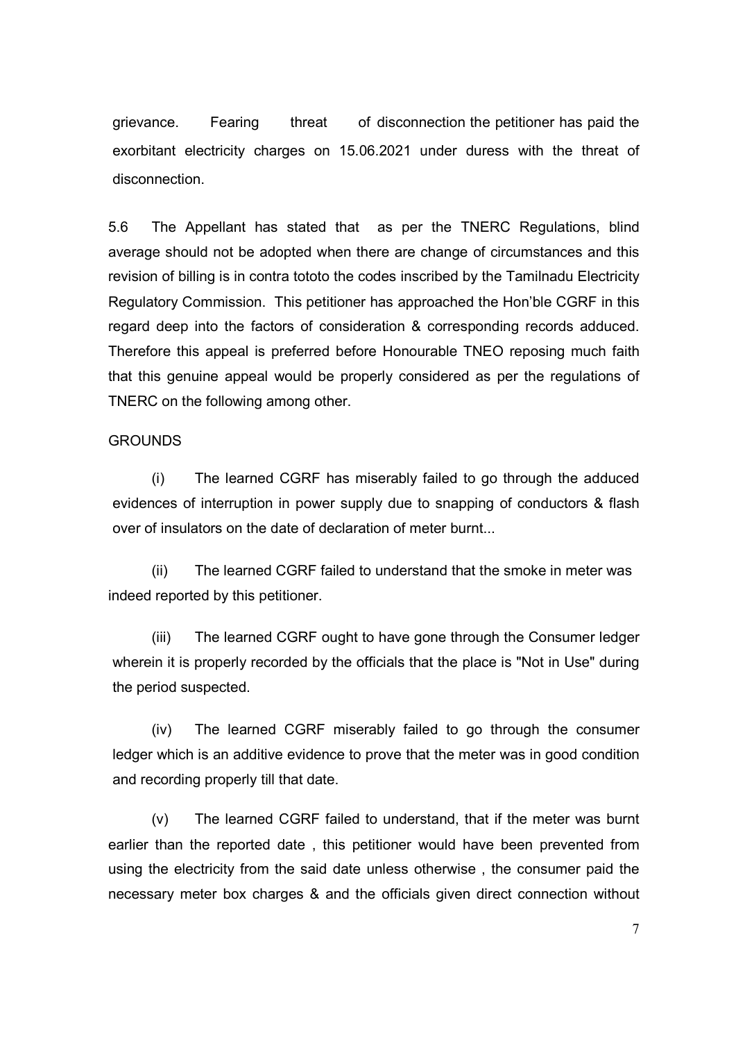grievance. Fearing threat of disconnection the petitioner has paid the exorbitant electricity charges on 15.06.2021 under duress with the threat of disconnection.

5.6 The Appellant has stated that as per the TNERC Regulations, blind average should not be adopted when there are change of circumstances and this revision of billing is in contra tototo the codes inscribed by the Tamilnadu Electricity Regulatory Commission. This petitioner has approached the Hon'ble CGRF in this regard deep into the factors of consideration & corresponding records adduced. Therefore this appeal is preferred before Honourable TNEO reposing much faith that this genuine appeal would be properly considered as per the regulations of TNERC on the following among other.

### GROUNDS

 (i) The learned CGRF has miserably failed to go through the adduced evidences of interruption in power supply due to snapping of conductors & flash over of insulators on the date of declaration of meter burnt...

 (ii) The learned CGRF failed to understand that the smoke in meter was indeed reported by this petitioner.

(iii) The learned CGRF ought to have gone through the Consumer ledger wherein it is properly recorded by the officials that the place is "Not in Use" during the period suspected.

 (iv) The learned CGRF miserably failed to go through the consumer ledger which is an additive evidence to prove that the meter was in good condition and recording properly till that date.

 (v) The learned CGRF failed to understand, that if the meter was burnt earlier than the reported date , this petitioner would have been prevented from using the electricity from the said date unless otherwise , the consumer paid the necessary meter box charges & and the officials given direct connection without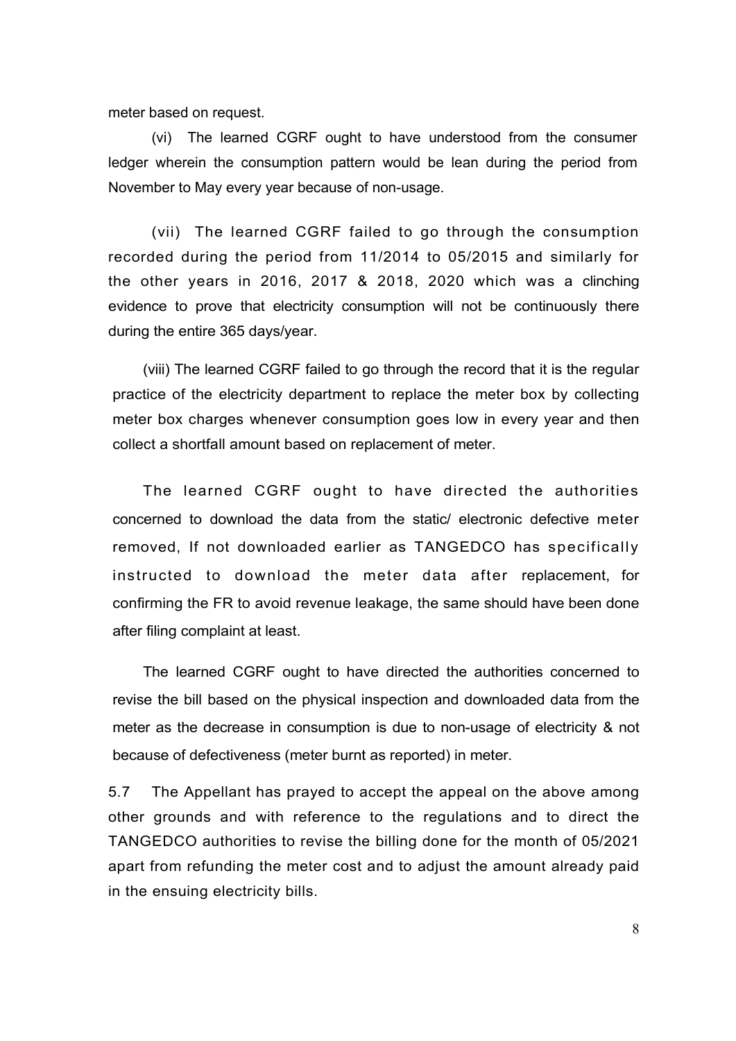meter based on request.

(vi) The learned CGRF ought to have understood from the consumer ledger wherein the consumption pattern would be lean during the period from November to May every year because of non-usage.

(vii) The learned CGRF failed to go through the consumption recorded during the period from 11/2014 to 05/2015 and similarly for the other years in 2016, 2017 & 2018, 2020 which was a clinching evidence to prove that electricity consumption will not be continuously there during the entire 365 days/year.

(viii) The learned CGRF failed to go through the record that it is the regular practice of the electricity department to replace the meter box by collecting meter box charges whenever consumption goes low in every year and then collect a shortfall amount based on replacement of meter.

The learned CGRF ought to have directed the authorities concerned to download the data from the static/ electronic defective meter removed, If not downloaded earlier as TANGEDCO has specifically instructed to download the meter data after replacement, for confirming the FR to avoid revenue leakage, the same should have been done after filing complaint at least.

The learned CGRF ought to have directed the authorities concerned to revise the bill based on the physical inspection and downloaded data from the meter as the decrease in consumption is due to non-usage of electricity & not because of defectiveness (meter burnt as reported) in meter.

5.7 The Appellant has prayed to accept the appeal on the above among other grounds and with reference to the regulations and to direct the TANGEDCO authorities to revise the billing done for the month of 05/2021 apart from refunding the meter cost and to adjust the amount already paid in the ensuing electricity bills.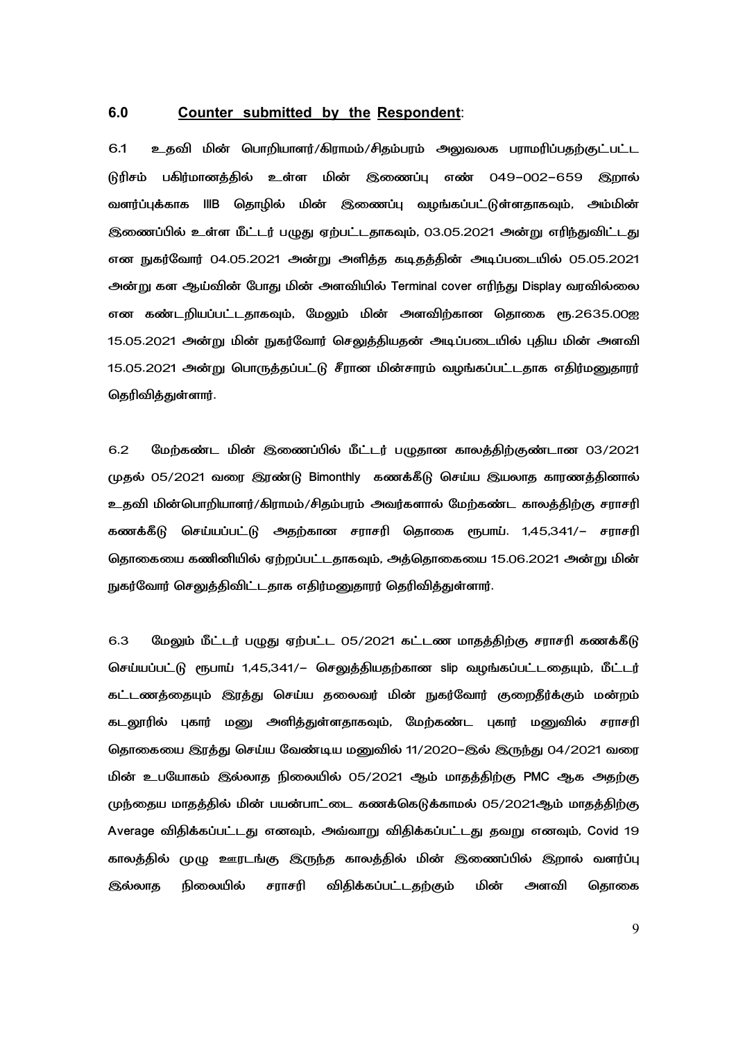#### **6.0 Counter submitted by the Respondent**:

6.1 உதவி மின் பொறியாளர்/கிராமம்/சிதம்பரம் அலுவலக பராமரிப்பதற்குட்பட்ட டுரிசம் பகிர்மானத்தில் உள்ள <u>மின் இணைப்பு எண் 049–002–659 </u> இறால் வளர்ப்புக்காக IIIB தொழில் மின் இணைப்பு வழங்கப்பட்டுள்ளதாகவும், அம்மின் இணைப்பில் உள்ள மீட்டர் பழுது ஏற்பட்டதாகவும், 03.05.2021 அன்று எரிந்துவிட்டது என நுகர்வோர் 04.05.2021 அன்று அளித்த கடிதத்தின் அடிப்படையில் 05.05.2021 அன்று கள ஆய்வின் போது மின் அளவியில் Terminal cover எரிந்து Display வரவில்லை என கண்டறியப்பட்டதாகவும், மேலும் மின் அளவிற்கான தொகை ரூ.2635.00ஐ 15.05.2021 அன்று மின் நுகர்வோர் செலுத்தியதன் அடிப்படையில் புதிய மின் அளவி 15.05.2021 அன்று பொருத்தப்பட்டு சீரான மின்சாரம் வழங்கப்பட்டதாக எதிர்மனுதாரர் தெரிவித்துள்ளார்.

6.2 மேற்கண்ட மின் இணைப்பில் மீட்டர் பழுதான காலத்திற்குண்டான 03/2021 முதல் 05/2021 வரை இரண்டு Bimonthly கணக்கீடு செய்ய இயலாத காரணத்தினால் உதவி மின்பொறியாளர்/கிராமம்/சிதம்பரம் அவர்களால் மேற்கண்ட காலத்திற்கு சராசரி கணக்கீடு செய்யப்பட்டு அதற்கான சராசரி தொகை ரூபாய். 1,45,341/– சராசரி தொகையை கணினியில் ஏற்றப்பட்டதாகவும், அத்தொகையை 15.06.2021 அன்று மின் நுகர்வோர் செலுத்திவிட்டதாக எதிர்மனுதாரர் தெரிவித்துள்ளார்.

6.3 மேலும் மீட்டர் பழுது ஏற்பட்ட 05/2021 கட்டண மாதத்திற்கு சராசரி கணக்கீடு செய்யப்பட்டு ரூபாய் 1,45,341/– செலுத்தியதற்கான slip வழங்கப்பட்டதையும், மீட்டர் கட்டணத்தையும் இரத்து செய்ய தலைவர் மின் நுகர்வோர் குறைதீர்க்கும் மன்றம் கடலூரில் புகார் மனு அளித்துள்ளதாகவும், மேற்கண்ட புகார் மனுவில் சராசரி தொகையை இரத்து செய்ய வேண்டிய மனுவில் 11/2020–இல் இருந்து 04/2021 வரை மின் உபயோகம் இல்லாத நிலையில் 05/2021 ஆம் மாதத்திற்கு PMC ஆக அதற்கு முந்தைய மாதத்தில் மின் பயன்பாட்டை கணக்கெடுக்காமல் 05/2021ஆம் மாதத்திற்கு Average விதிக்கப்பட்டது எனவும், அவ்வாறு விதிக்கப்பட்டது தவறு எனவும், Covid 19 காலத்தில் முழு ஊரடங்கு இருந்த காலத்தில் மின் இணைப்பில் இறால் வளர்ப்பு இல்லாத நிலையில் சராசரி விதிக்கப்பட்டதற்கும் மின் அளவி தொகை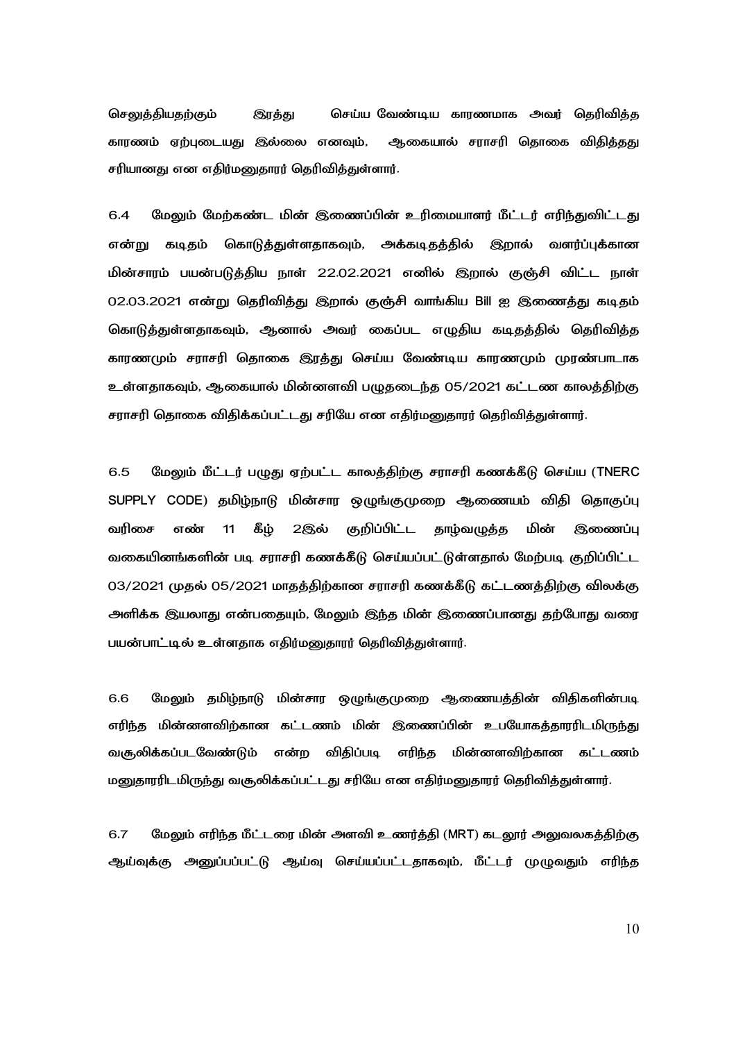செலுத்தியதற்கும் இரத்து செய்ய வேண்டிய காரணமாக அவர் தெரிவித்த காரணம் ஏற்புடையது இல்லை எனவும், ஆகையா ல் சராசரி தொகை விதித்தது சரியானது என எதிர்மனுதாரர் தெரிவித்துள்ளார்.

6.4 மேலும் மேற்கண்ட மின் இணைப்பின் உரிமையாளர் மீட்டர் எரிந்துவிட்டது என்று கடிதம் கொடுத்துள்ளதாகவும், அக்கடிதத்தில் இறா ல் வளர்ப்புக்கான மின்சாரம் பயன்படுத்திய நாள் 22.02.2021 எனில் இறால் குஞ்சி விட்ட நாள் 02.03.2021 என்று தெரிவித்து இறால் குஞ்சி வாங்கிய Bill ஐ இணைத்து கடிதம் கொடுத்துள்ளதாகவும், ஆனால் அவர் கைப்பட எழுதிய கடிதத்தில் தெரிவித்த காரணமும் சராசரி தொகை இரத்து செய்ய வேண்டிய காரணமும் முரண்பாடாக உள்ளதாகவும், ஆகையால் மின்னளவி பழுதடைந்த 05/2021 கட்டண காலத்திற்கு சராசரி தொகை விதிக்கப்பட்டது சரியே என எதிர்மனுதாரர் தெரிவித்துள்ளார்.

6.5 மேலும் மீட்டர் பழுது ஏற்பட்ட காலத்திற்கு சராசரி கணக்கீடு செய்ய (TNERC SUPPLY CODE) தமிழ்நாடு மின்சார ஒழுங்குமுறை ஆணையம் விதி தொகுப்பு வரிசை எண் 11 கீழ் 2இல் குறிப்பிட்ட தாழ்வழுத்த மின் இணைப்பு வகையினங்களின் படி சராசரி கணக்கீடு செய்யப்பட்டுள்ளதால் மேற்படி குறிப்பிட்ட 03/2021 முதல் 05/2021 மாதத்திற்கான சராசரி கணக்கீடு கட்டணத்திற்கு விலக்கு அளிக்க இயலாது என்பதையும், மேலும் இந்த மின் இணைப்பானது தற்போது வரை பயன்பாட்டில் உள்ளதாக எதிர்மனுதாரர் தெரிவித்துள்ளார்.

6.6 மேலும் தமிழ்நாடு மின்சார ஒழுங்குமுறை ஆணையத்தின் விதிகளின்படி எரிந்த மின்னளவிற்கான கட்டணம் மின் இணைப்பின் உபயோகத்தாரரிடமிருந்து வசூலிக்கப்படவேண்டும் என்ற விதிப்படி எரிந்த மின்னளவிற்கான கட்டணம் மனுதாரரிடமிருந்து வசூலிக்கப்பட்டது சரியே என எதிர்மனுதாரர் தெரிவித்துள்ளார்.

6.7 மேலும் எரிந்த மீட்டரை மின் அளவி உணர்த்தி (MRT) கடலூர் அலுவலகத்திற்கு ஆய்வுக்கு அனுப்பப்பட்டு ஆய்வு செய்யப்பட்டதாகவும், மீட்டர் முழுவதும் எரிந்த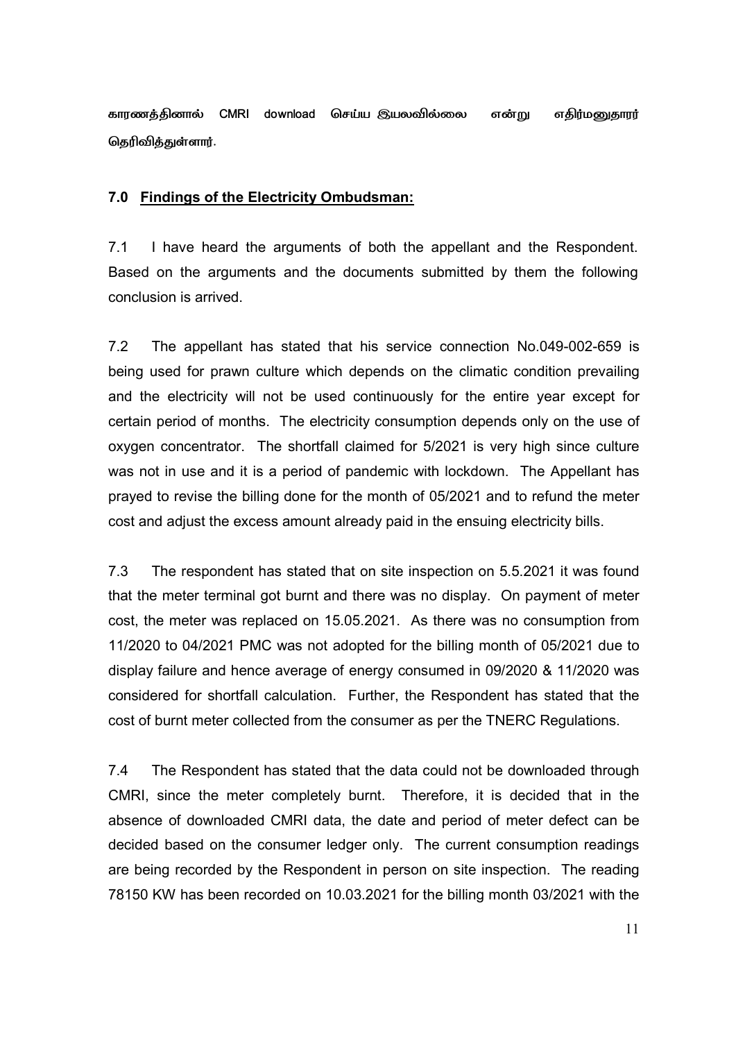காரணத்தினால் CMRI download செய்ய இயலவில்லை என்று எதிர்மனுதா எதிர்மனுதாரர் தெரிவித்துள்ளார்.

### **7.0 Findings of the Electricity Ombudsman:**

7.1 I have heard the arguments of both the appellant and the Respondent. Based on the arguments and the documents submitted by them the following conclusion is arrived.

7.2 The appellant has stated that his service connection No.049-002-659 is being used for prawn culture which depends on the climatic condition prevailing and the electricity will not be used continuously for the entire year except for certain period of months. The electricity consumption depends only on the use of oxygen concentrator. The shortfall claimed for 5/2021 is very high since culture was not in use and it is a period of pandemic with lockdown. The Appellant has prayed to revise the billing done for the month of 05/2021 and to refund the meter cost and adjust the excess amount already paid in the ensuing electricity bills.

7.3 The respondent has stated that on site inspection on 5.5.2021 it was found that the meter terminal got burnt and there was no display. On payment of meter cost, the meter was replaced on 15.05.2021. As there was no consumption from 11/2020 to 04/2021 PMC was not adopted for the billing month of 05/2021 due to display failure and hence average of energy consumed in 09/2020 & 11/2020 was considered for shortfall calculation. Further, the Respondent has stated that the cost of burnt meter collected from the consumer as per the TNERC Regulations.

7.4 The Respondent has stated that the data could not be downloaded through CMRI, since the meter completely burnt. Therefore, it is decided that in the absence of downloaded CMRI data, the date and period of meter defect can be decided based on the consumer ledger only. The current consumption readings are being recorded by the Respondent in person on site inspection. The reading 78150 KW has been recorded on 10.03.2021 for the billing month 03/2021 with the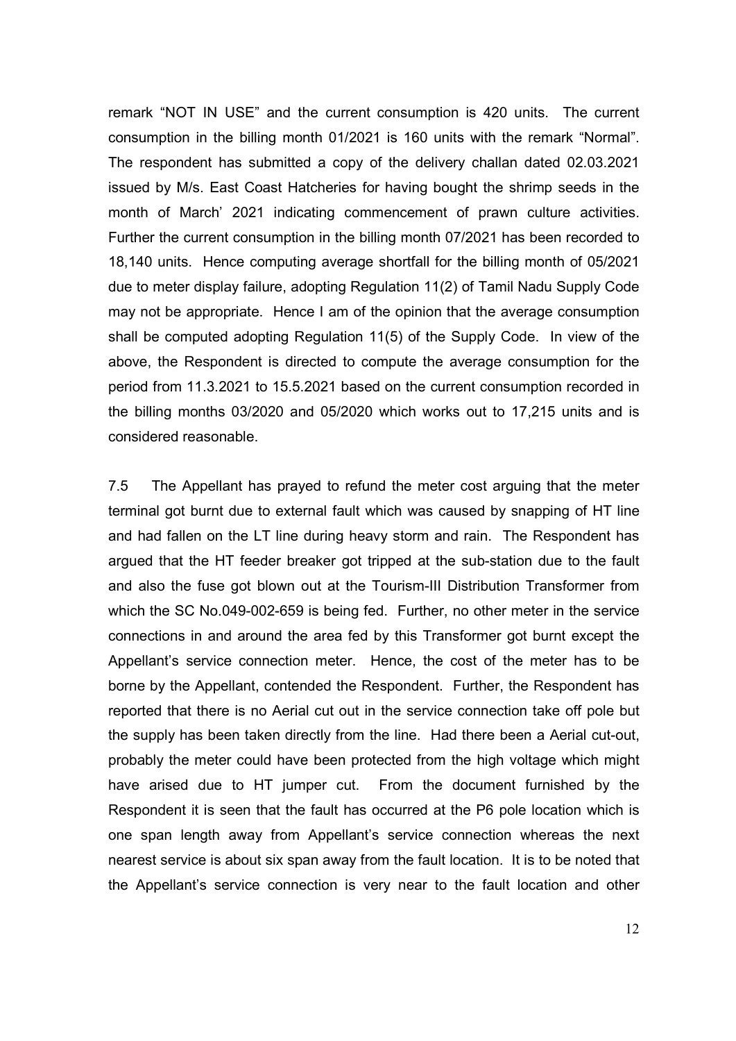remark "NOT IN USE" and the current consumption is 420 units. The current consumption in the billing month 01/2021 is 160 units with the remark "Normal". The respondent has submitted a copy of the delivery challan dated 02.03.2021 issued by M/s. East Coast Hatcheries for having bought the shrimp seeds in the month of March' 2021 indicating commencement of prawn culture activities. Further the current consumption in the billing month 07/2021 has been recorded to 18,140 units. Hence computing average shortfall for the billing month of 05/2021 due to meter display failure, adopting Regulation 11(2) of Tamil Nadu Supply Code may not be appropriate. Hence I am of the opinion that the average consumption shall be computed adopting Regulation 11(5) of the Supply Code. In view of the above, the Respondent is directed to compute the average consumption for the period from 11.3.2021 to 15.5.2021 based on the current consumption recorded in the billing months 03/2020 and 05/2020 which works out to 17,215 units and is considered reasonable.

7.5 The Appellant has prayed to refund the meter cost arguing that the meter terminal got burnt due to external fault which was caused by snapping of HT line and had fallen on the LT line during heavy storm and rain. The Respondent has argued that the HT feeder breaker got tripped at the sub-station due to the fault and also the fuse got blown out at the Tourism-III Distribution Transformer from which the SC No.049-002-659 is being fed. Further, no other meter in the service connections in and around the area fed by this Transformer got burnt except the Appellant's service connection meter. Hence, the cost of the meter has to be borne by the Appellant, contended the Respondent. Further, the Respondent has reported that there is no Aerial cut out in the service connection take off pole but the supply has been taken directly from the line. Had there been a Aerial cut-out, probably the meter could have been protected from the high voltage which might have arised due to HT jumper cut. From the document furnished by the Respondent it is seen that the fault has occurred at the P6 pole location which is one span length away from Appellant's service connection whereas the next nearest service is about six span away from the fault location. It is to be noted that the Appellant's service connection is very near to the fault location and other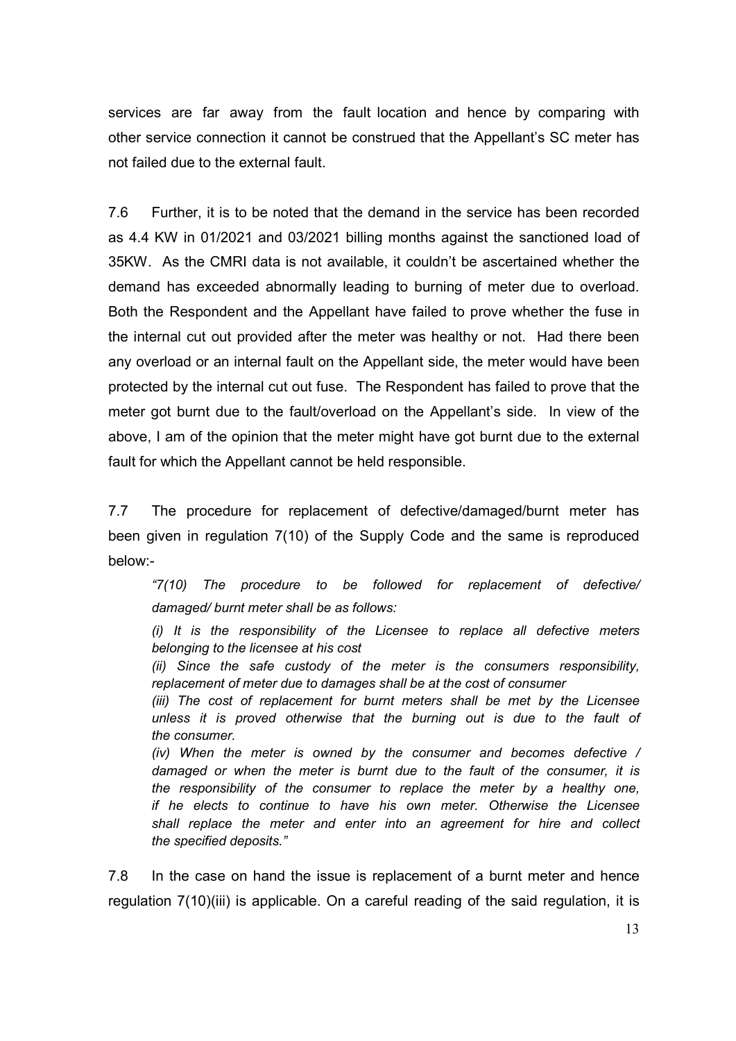services are far away from the fault location and hence by comparing with other service connection it cannot be construed that the Appellant's SC meter has not failed due to the external fault.

7.6 Further, it is to be noted that the demand in the service has been recorded as 4.4 KW in 01/2021 and 03/2021 billing months against the sanctioned load of 35KW. As the CMRI data is not available, it couldn't be ascertained whether the demand has exceeded abnormally leading to burning of meter due to overload. Both the Respondent and the Appellant have failed to prove whether the fuse in the internal cut out provided after the meter was healthy or not. Had there been any overload or an internal fault on the Appellant side, the meter would have been protected by the internal cut out fuse. The Respondent has failed to prove that the meter got burnt due to the fault/overload on the Appellant's side. In view of the above, I am of the opinion that the meter might have got burnt due to the external fault for which the Appellant cannot be held responsible.

7.7 The procedure for replacement of defective/damaged/burnt meter has been given in regulation 7(10) of the Supply Code and the same is reproduced below:-

*"7(10) The procedure to be followed for replacement of defective/ damaged/ burnt meter shall be as follows:* 

*(i) It is the responsibility of the Licensee to replace all defective meters belonging to the licensee at his cost* 

*(ii) Since the safe custody of the meter is the consumers responsibility, replacement of meter due to damages shall be at the cost of consumer* 

*(iii) The cost of replacement for burnt meters shall be met by the Licensee unless it is proved otherwise that the burning out is due to the fault of the consumer.* 

*(iv) When the meter is owned by the consumer and becomes defective / damaged or when the meter is burnt due to the fault of the consumer, it is the responsibility of the consumer to replace the meter by a healthy one, if he elects to continue to have his own meter. Otherwise the Licensee shall replace the meter and enter into an agreement for hire and collect the specified deposits."* 

7.8 In the case on hand the issue is replacement of a burnt meter and hence regulation 7(10)(iii) is applicable. On a careful reading of the said regulation, it is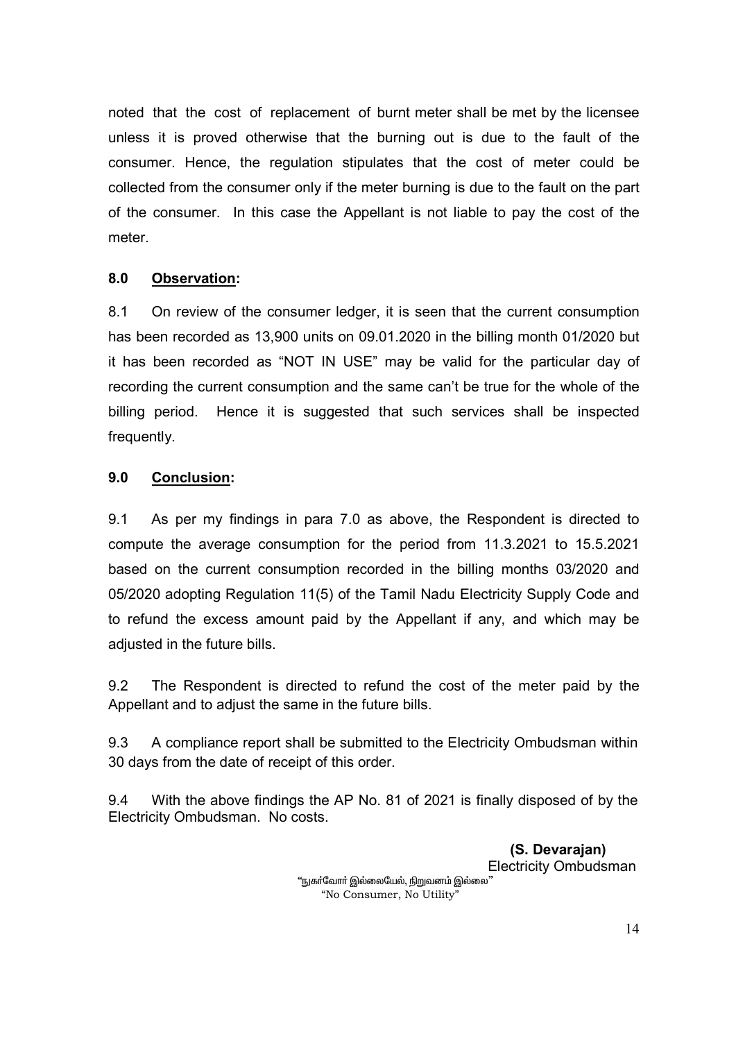noted that the cost of replacement of burnt meter shall be met by the licensee unless it is proved otherwise that the burning out is due to the fault of the consumer. Hence, the regulation stipulates that the cost of meter could be collected from the consumer only if the meter burning is due to the fault on the part of the consumer. In this case the Appellant is not liable to pay the cost of the meter.

# **8.0 Observation:**

8.1 On review of the consumer ledger, it is seen that the current consumption has been recorded as 13,900 units on 09.01.2020 in the billing month 01/2020 but it has been recorded as "NOT IN USE" may be valid for the particular day of recording the current consumption and the same can't be true for the whole of the billing period. Hence it is suggested that such services shall be inspected frequently.

# **9.0 Conclusion:**

9.1 As per my findings in para 7.0 as above, the Respondent is directed to compute the average consumption for the period from 11.3.2021 to 15.5.2021 based on the current consumption recorded in the billing months 03/2020 and 05/2020 adopting Regulation 11(5) of the Tamil Nadu Electricity Supply Code and to refund the excess amount paid by the Appellant if any, and which may be adjusted in the future bills.

9.2 The Respondent is directed to refund the cost of the meter paid by the Appellant and to adjust the same in the future bills.

9.3 A compliance report shall be submitted to the Electricity Ombudsman within 30 days from the date of receipt of this order.

9.4 With the above findings the AP No. 81 of 2021 is finally disposed of by the Electricity Ombudsman. No costs.

> **(S. Devarajan)**  Electricity Ombudsman "நுகா்வோா் இல்லையேல், நிறுவனம் இல்லை" "No Consumer, No Utility"